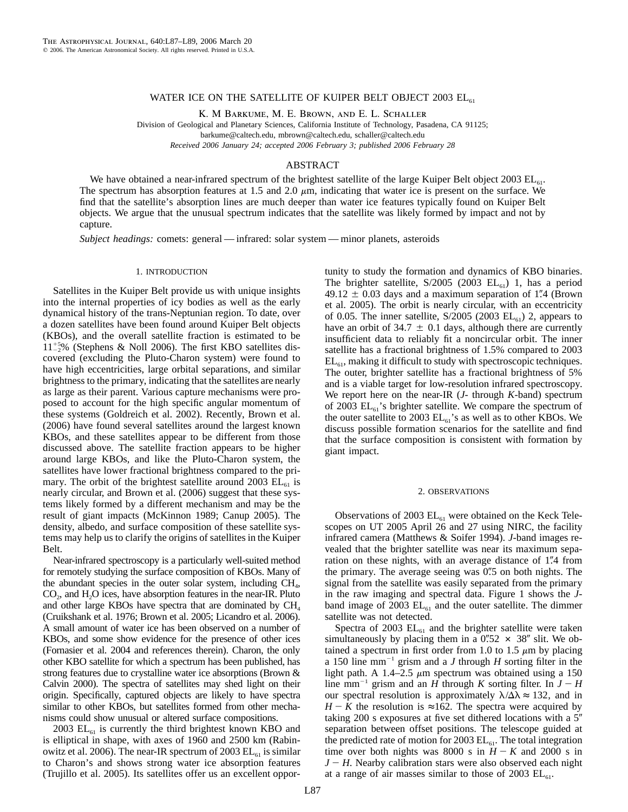## WATER ICE ON THE SATELLITE OF KUIPER BELT OBJECT  $2003$  EL<sub>61</sub>

K. M Barkume, M. E. Brown, and E. L. Schaller

Division of Geological and Planetary Sciences, California Institute of Technology, Pasadena, CA 91125;

barkume@caltech.edu, mbrown@caltech.edu, schaller@caltech.edu

*Received 2006 January 24; accepted 2006 February 3; published 2006 February 28*

## ABSTRACT

We have obtained a near-infrared spectrum of the brightest satellite of the large Kuiper Belt object 2003  $EL_{61}$ . The spectrum has absorption features at 1.5 and 2.0  $\mu$ m, indicating that water ice is present on the surface. We find that the satellite's absorption lines are much deeper than water ice features typically found on Kuiper Belt objects. We argue that the unusual spectrum indicates that the satellite was likely formed by impact and not by capture.

*Subject headings:* comets: general — infrared: solar system — minor planets, asteroids

# 1. INTRODUCTION

Satellites in the Kuiper Belt provide us with unique insights into the internal properties of icy bodies as well as the early dynamical history of the trans-Neptunian region. To date, over a dozen satellites have been found around Kuiper Belt objects (KBOs), and the overall satellite fraction is estimated to be  $11^{+5}_{-2}$ % (Stephens & Noll 2006). The first KBO satellites discovered (excluding the Pluto-Charon system) were found to have high eccentricities, large orbital separations, and similar brightness to the primary, indicating that the satellites are nearly as large as their parent. Various capture mechanisms were proposed to account for the high specific angular momentum of these systems (Goldreich et al. 2002). Recently, Brown et al. (2006) have found several satellites around the largest known KBOs, and these satellites appear to be different from those discussed above. The satellite fraction appears to be higher around large KBOs, and like the Pluto-Charon system, the satellites have lower fractional brightness compared to the primary. The orbit of the brightest satellite around 2003  $EL_{61}$  is nearly circular, and Brown et al. (2006) suggest that these systems likely formed by a different mechanism and may be the result of giant impacts (McKinnon 1989; Canup 2005). The density, albedo, and surface composition of these satellite systems may help us to clarify the origins of satellites in the Kuiper Belt.

Near-infrared spectroscopy is a particularly well-suited method for remotely studying the surface composition of KBOs. Many of the abundant species in the outer solar system, including  $CH<sub>4</sub>$ ,  $CO<sub>2</sub>$ , and  $H<sub>2</sub>O$  ices, have absorption features in the near-IR. Pluto and other large KBOs have spectra that are dominated by  $CH<sub>4</sub>$ (Cruikshank et al. 1976; Brown et al. 2005; Licandro et al. 2006). A small amount of water ice has been observed on a number of KBOs, and some show evidence for the presence of other ices (Fornasier et al. 2004 and references therein). Charon, the only other KBO satellite for which a spectrum has been published, has strong features due to crystalline water ice absorptions (Brown & Calvin 2000). The spectra of satellites may shed light on their origin. Specifically, captured objects are likely to have spectra similar to other KBOs, but satellites formed from other mechanisms could show unusual or altered surface compositions.

2003  $EL_{61}$  is currently the third brightest known KBO and is elliptical in shape, with axes of 1960 and 2500 km (Rabinowitz et al. 2006). The near-IR spectrum of 2003  $\text{EL}_{61}$  is similar to Charon's and shows strong water ice absorption features (Trujillo et al. 2005). Its satellites offer us an excellent opportunity to study the formation and dynamics of KBO binaries. The brighter satellite,  $S/2005$  (2003  $EL_{61}$ ) 1, has a period  $49.12 \pm 0.03$  days and a maximum separation of 1."4 (Brown et al. 2005). The orbit is nearly circular, with an eccentricity of 0.05. The inner satellite,  $S/2005$  (2003  $EL_{61}$ ) 2, appears to have an orbit of  $34.7 \pm 0.1$  days, although there are currently insufficient data to reliably fit a noncircular orbit. The inner satellite has a fractional brightness of 1.5% compared to 2003  $EL_{61}$ , making it difficult to study with spectroscopic techniques. The outer, brighter satellite has a fractional brightness of 5% and is a viable target for low-resolution infrared spectroscopy. We report here on the near-IR (*J*- through *K*-band) spectrum of 2003  $EL_{61}$ 's brighter satellite. We compare the spectrum of the outer satellite to 2003  $EL_{61}$ 's as well as to other KBOs. We discuss possible formation scenarios for the satellite and find that the surface composition is consistent with formation by giant impact.

#### 2. OBSERVATIONS

Observations of 2003  $EL_{61}$  were obtained on the Keck Telescopes on UT 2005 April 26 and 27 using NIRC, the facility infrared camera (Matthews & Soifer 1994). *J*-band images revealed that the brighter satellite was near its maximum separation on these nights, with an average distance of 1."4 from the primary. The average seeing was 0.5 on both nights. The signal from the satellite was easily separated from the primary in the raw imaging and spectral data. Figure 1 shows the *J*band image of 2003  $EL_{61}$  and the outer satellite. The dimmer satellite was not detected.

Spectra of 2003  $EL_{61}$  and the brighter satellite were taken simultaneously by placing them in a  $0\rlap.{''}52 \times 38''$  slit. We obtained a spectrum in first order from 1.0 to 1.5  $\mu$ m by placing a 150 line mm-<sup>1</sup> grism and a *J* through *H* sorting filter in the light path. A 1.4–2.5  $\mu$ m spectrum was obtained using a 150 line mm<sup>-1</sup> grism and an *H* through *K* sorting filter. In  $J - H$ our spectral resolution is approximately  $\lambda/\Delta\lambda \approx 132$ , and in *H* - *K* the resolution is ≈162. The spectra were acquired by taking 200 s exposures at five set dithered locations with a 5 separation between offset positions. The telescope guided at the predicted rate of motion for 2003  $EL_{61}$ . The total integration time over both nights was 8000 s in  $H - K$  and 2000 s in *J* - *H*. Nearby calibration stars were also observed each night at a range of air masses similar to those of 2003  $EL_{61}$ .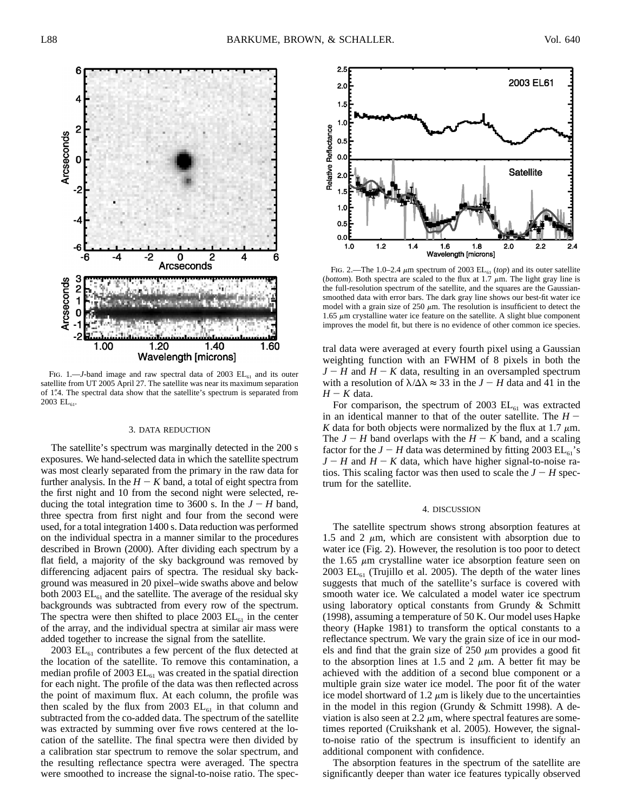

Fig. 1.—*J*-band image and raw spectral data of 2003  $EL_{61}$  and its outer satellite from UT 2005 April 27. The satellite was near its maximum separation of 1.4. The spectral data show that the satellite's spectrum is separated from  $2003$  EL<sub>61</sub>.

#### 3. DATA REDUCTION

The satellite's spectrum was marginally detected in the 200 s exposures. We hand-selected data in which the satellite spectrum was most clearly separated from the primary in the raw data for further analysis. In the  $H - K$  band, a total of eight spectra from the first night and 10 from the second night were selected, reducing the total integration time to 3600 s. In the  $J - H$  band, three spectra from first night and four from the second were used, for a total integration 1400 s. Data reduction was performed on the individual spectra in a manner similar to the procedures described in Brown (2000). After dividing each spectrum by a flat field, a majority of the sky background was removed by differencing adjacent pairs of spectra. The residual sky background was measured in 20 pixel–wide swaths above and below both 2003  $EL_{61}$  and the satellite. The average of the residual sky backgrounds was subtracted from every row of the spectrum. The spectra were then shifted to place 2003  $EL_{61}$  in the center of the array, and the individual spectra at similar air mass were added together to increase the signal from the satellite.

2003  $EL_{61}$  contributes a few percent of the flux detected at the location of the satellite. To remove this contamination, a median profile of 2003  $EL_{61}$  was created in the spatial direction for each night. The profile of the data was then reflected across the point of maximum flux. At each column, the profile was then scaled by the flux from 2003  $EL_{61}$  in that column and subtracted from the co-added data. The spectrum of the satellite was extracted by summing over five rows centered at the location of the satellite. The final spectra were then divided by a calibration star spectrum to remove the solar spectrum, and the resulting reflectance spectra were averaged. The spectra were smoothed to increase the signal-to-noise ratio. The spec-



FIG. 2.—The 1.0–2.4  $\mu$ m spectrum of 2003 EL<sub>61</sub> (*top*) and its outer satellite (*bottom*). Both spectra are scaled to the flux at 1.7  $\mu$ m. The light gray line is the full-resolution spectrum of the satellite, and the squares are the Gaussiansmoothed data with error bars. The dark gray line shows our best-fit water ice model with a grain size of 250  $\mu$ m. The resolution is insufficient to detect the 1.65  $\mu$ m crystalline water ice feature on the satellite. A slight blue component improves the model fit, but there is no evidence of other common ice species.

tral data were averaged at every fourth pixel using a Gaussian weighting function with an FWHM of 8 pixels in both the  $J - H$  and  $H - K$  data, resulting in an oversampled spectrum with a resolution of  $\lambda/\Delta\lambda \approx 33$  in the  $J - H$  data and 41 in the *H* - *K* data.

For comparison, the spectrum of 2003  $EL_{61}$  was extracted in an identical manner to that of the outer satellite. The  $H -$ *K* data for both objects were normalized by the flux at 1.7  $\mu$ m. The  $J - H$  band overlaps with the  $H - K$  band, and a scaling factor for the  $J - H$  data was determined by fitting 2003  $\text{EL}_{61}$ 's  $J - H$  and  $H - K$  data, which have higher signal-to-noise ratios. This scaling factor was then used to scale the  $J - H$  spectrum for the satellite.

#### 4. DISCUSSION

The satellite spectrum shows strong absorption features at 1.5 and 2  $\mu$ m, which are consistent with absorption due to water ice (Fig. 2). However, the resolution is too poor to detect the 1.65  $\mu$ m crystalline water ice absorption feature seen on 2003  $\text{EL}_{61}$  (Trujillo et al. 2005). The depth of the water lines suggests that much of the satellite's surface is covered with smooth water ice. We calculated a model water ice spectrum using laboratory optical constants from Grundy & Schmitt (1998), assuming a temperature of 50 K. Our model uses Hapke theory (Hapke 1981) to transform the optical constants to a reflectance spectrum. We vary the grain size of ice in our models and find that the grain size of  $250 \mu m$  provides a good fit to the absorption lines at 1.5 and 2  $\mu$ m. A better fit may be achieved with the addition of a second blue component or a multiple grain size water ice model. The poor fit of the water ice model shortward of 1.2  $\mu$ m is likely due to the uncertainties in the model in this region (Grundy & Schmitt 1998). A deviation is also seen at 2.2  $\mu$ m, where spectral features are sometimes reported (Cruikshank et al. 2005). However, the signalto-noise ratio of the spectrum is insufficient to identify an additional component with confidence.

The absorption features in the spectrum of the satellite are significantly deeper than water ice features typically observed